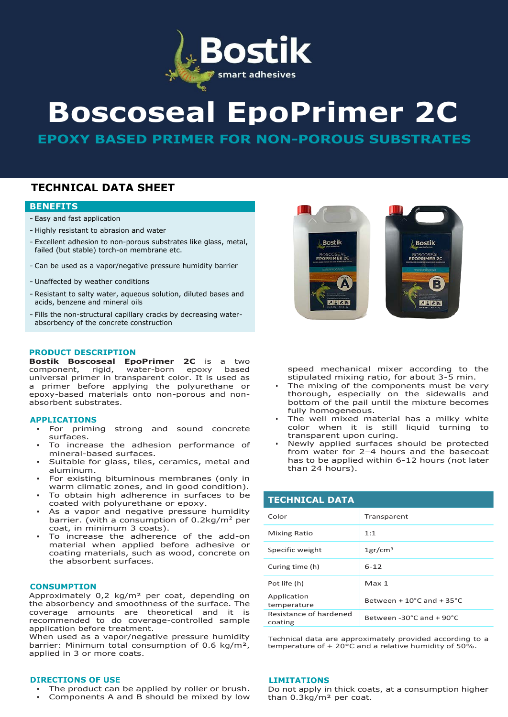

# **Boscoseal EpoPrimer 2C**

**EPOXY BASED PRIMER FOR NON-POROUS SUBSTRATES**

## **TECHNICAL DATA SHEET**

## **BENEFITS**

- Easy and fast application
- Highly resistant to abrasion and water
- Excellent adhesion to non-porous substrates like glass, metal, failed (but stable) torch-on membrane etc.
- Can be used as a vapor/negative pressure humidity barrier
- Unaffected by weather conditions
- Resistant to salty water, aqueous solution, diluted bases and acids, benzene and mineral oils
- Fills the non-structural capillary cracks by decreasing waterabsorbency of the concrete construction

## **PRODUCT DESCRIPTION**

**Bostik Boscoseal EpoPrimer 2C** is a two component, rigid, water-born epoxy based universal primer in transparent color. It is used as a primer before applying the polyurethane or epoxy-based materials onto non-porous and nonabsorbent substrates.

## **APPLICATIONS**

- For priming strong and sound concrete surfaces.
- To increase the adhesion performance of mineral-based surfaces.
- Suitable for glass, tiles, ceramics, metal and aluminum.
- For existing bituminous membranes (only in warm climatic zones, and in good condition).
- To obtain high adherence in surfaces to be coated with polyurethane or epoxy.
- As a vapor and negative pressure humidity barrier. (with a consumption of  $0.2 \text{kg/m}^2$  per coat, in minimum 3 coats).
- To increase the adherence of the add-on material when applied before adhesive or coating materials, such as wood, concrete on the absorbent surfaces.

## **CONSUMPTION**

Approximately 0,2 kg/m² per coat, depending on the absorbency and smoothness of the surface. The coverage amounts are theoretical and it is recommended to do coverage-controlled sample application before treatment.

When used as a vapor/negative pressure humidity barrier: Minimum total consumption of 0.6 kg/m², applied in 3 or more coats.

## **DIRECTIONS OF USE**

- The product can be applied by roller or brush.
- Components A and B should be mixed by low



speed mechanical mixer according to the stipulated mixing ratio, for about 3-5 min.

- The mixing of the components must be very thorough, especially on the sidewalls and bottom of the pail until the mixture becomes fully homogeneous.
- The well mixed material has a milky white color when it is still liquid turning to transparent upon curing.
- Newly applied surfaces should be protected from water for 2–4 hours and the basecoat has to be applied within 6-12 hours (not later than 24 hours).

| <b>TECHNICAL DATA</b>             |                                             |
|-----------------------------------|---------------------------------------------|
| Color                             | Transparent                                 |
| <b>Mixing Ratio</b>               | 1:1                                         |
| Specific weight                   | $1gr/cm^3$                                  |
| Curing time (h)                   | $6 - 12$                                    |
| Pot life (h)                      | Max <sub>1</sub>                            |
| Application<br>temperature        | Between $+10^{\circ}$ C and $+35^{\circ}$ C |
| Resistance of hardened<br>coating | Between $-30^{\circ}$ C and $+90^{\circ}$ C |

Technical data are approximately provided according to a temperature of  $+20^{\circ}$ C and a relative humidity of 50%.

#### **LIMITATIONS**

Do not apply in thick coats, at a consumption higher than 0.3kg/m² per coat.